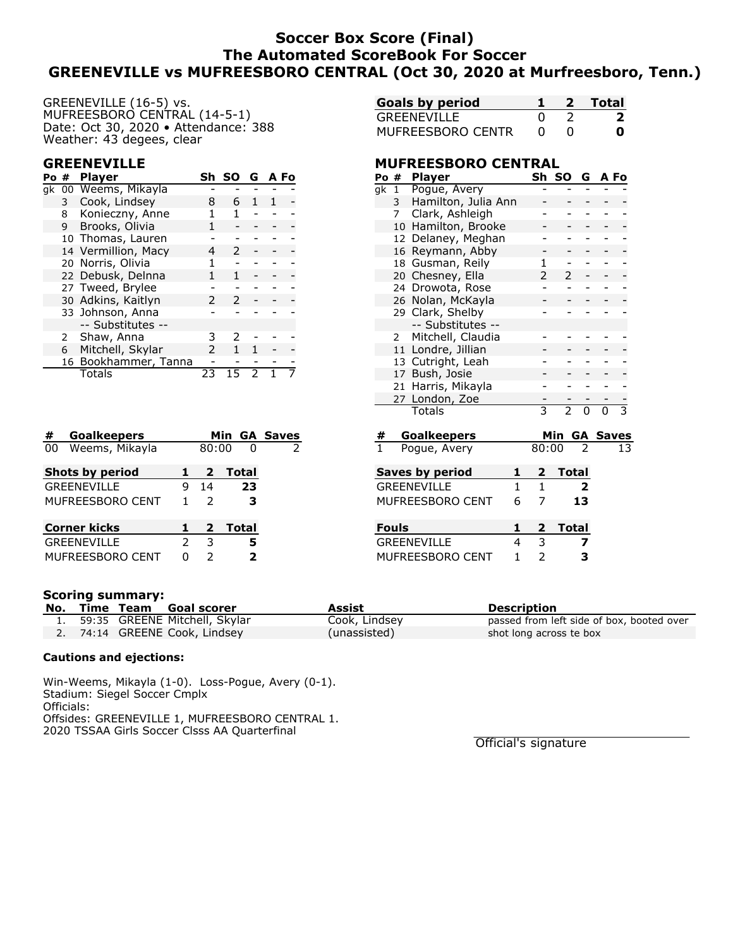# **Soccer Box Score (Final) The Automated ScoreBook For Soccer GREENEVILLE vs MUFREESBORO CENTRAL (Oct 30, 2020 at Murfreesboro, Tenn.)**

GREENEVILLE (16-5) vs. MUFREESBORO CENTRAL (14-5-1) Date: Oct 30, 2020 • Attendance: 388 Weather: 43 degees, clear

### **GREENEVILLE**

| Po# |              | <b>Player</b>        |    | Sh SO G AFo |  |  |
|-----|--------------|----------------------|----|-------------|--|--|
|     |              | gk 00 Weems, Mikayla |    |             |  |  |
|     | $\mathbf{3}$ | Cook, Lindsey        | 8  | 6           |  |  |
|     | 8            | Konieczny, Anne      |    |             |  |  |
|     | 9            | Brooks, Olivia       |    |             |  |  |
|     |              | 10 Thomas, Lauren    |    |             |  |  |
|     |              | 14 Vermillion, Macy  |    | 2           |  |  |
|     |              | 20 Norris, Olivia    |    |             |  |  |
|     |              | 22 Debusk, Delnna    |    |             |  |  |
|     |              | 27 Tweed, Brylee     |    |             |  |  |
|     |              | 30 Adkins, Kaitlyn   | 2  | 2           |  |  |
|     |              | 33 Johnson, Anna     |    |             |  |  |
|     |              | -- Substitutes --    |    |             |  |  |
|     | 2            | Shaw, Anna           | 3  |             |  |  |
|     | 6            | Mitchell, Skylar     |    |             |  |  |
|     |              | 16 Bookhammer, Tanna |    |             |  |  |
|     |              | Totals               | 23 |             |  |  |

| #                  | <b>Goalkeepers</b>     |               |                |       |       | Min GA Saves  |
|--------------------|------------------------|---------------|----------------|-------|-------|---------------|
| 00                 | Weems, Mikayla         |               |                | 80:00 |       | $\mathcal{P}$ |
|                    | <b>Shots by period</b> | 1             | $\overline{2}$ |       | Total |               |
| <b>GREENEVILLE</b> |                        |               | 14             |       | 23    |               |
|                    | MUFREESBORO CENT       |               | $\mathcal{P}$  |       | з     |               |
|                    | <b>Corner kicks</b>    | 1             | $\overline{2}$ |       | Total |               |
|                    | <b>GREENEVILLE</b>     | $\mathcal{P}$ | 3              |       | 5     |               |
|                    | MUFREESBORO CENT       |               | 2              |       | 2     |               |

| <b>Goals by period</b> |   | 2 Total |
|------------------------|---|---------|
| GREENEVILLE            |   | 2       |
| MUFREESBORO CENTR      | O | Ω       |

### **MUFREESBORO CENTRAL**

| Po # |    | <b>Player</b>       | Sh            | SO                       | G | A Fo            |   |
|------|----|---------------------|---------------|--------------------------|---|-----------------|---|
| qk   | 1  | Pogue, Avery        |               |                          |   |                 |   |
|      | 3  | Hamilton, Julia Ann |               |                          |   |                 |   |
|      | 7  | Clark, Ashleigh     |               |                          |   |                 |   |
|      | 10 | Hamilton, Brooke    |               |                          |   |                 |   |
|      | 12 | Delaney, Meghan     |               |                          |   |                 |   |
|      | 16 | Reymann, Abby       |               |                          |   |                 |   |
|      | 18 | Gusman, Reily       | 1             |                          |   |                 |   |
|      | 20 | Chesney, Ella       | $\mathcal{P}$ | $\mathcal{P}$            |   |                 |   |
|      |    | 24 Drowota, Rose    |               |                          |   |                 |   |
|      |    | 26 Nolan, McKayla   |               |                          |   |                 |   |
|      |    | 29 Clark, Shelby    |               |                          |   |                 |   |
|      |    | -- Substitutes --   |               |                          |   |                 |   |
|      | 2  | Mitchell, Claudia   |               |                          |   |                 |   |
|      |    | 11 Londre, Jillian  |               |                          |   |                 |   |
|      | 13 | Cutright, Leah      |               |                          |   |                 |   |
|      | 17 | Bush, Josie         |               |                          |   |                 |   |
|      | 21 | Harris, Mikayla     |               |                          |   |                 |   |
|      |    | 27 London, Zoe      |               |                          |   |                 |   |
|      |    | Totals              | 3             | $\overline{\phantom{a}}$ | n |                 | 3 |
| #    |    | <b>Goalkeepers</b>  |               | Min                      |   | <b>GA Saves</b> |   |

| Pogue, Avery<br>1 |                  | 80:00        |  | 13      |  |
|-------------------|------------------|--------------|--|---------|--|
| Saves by period   |                  | $\mathbf{1}$ |  | 2 Total |  |
| GRFFNFVILLF       |                  |              |  |         |  |
|                   | MUFREESBORO CENT | 6            |  | 13      |  |
|                   |                  |              |  |         |  |

| <b>Fouls</b>       |  | 2 Total |
|--------------------|--|---------|
| <b>GREENEVILLE</b> |  |         |
| MUFREESBORO CENT   |  |         |

#### **Scoring summary:**

|  | No. Time Team Goal scorer        | Assist        | <b>Description</b>                        |
|--|----------------------------------|---------------|-------------------------------------------|
|  | 1. 59:35 GREENE Mitchell, Skylar | Cook, Lindsey | passed from left side of box, booted over |
|  | 2. 74:14 GREENE Cook, Lindsey    | (unassisted)  | shot long across te box                   |

#### **Cautions and ejections:**

Win-Weems, Mikayla (1-0). Loss-Pogue, Avery (0-1). Stadium: Siegel Soccer Cmplx Officials: Offsides: GREENEVILLE 1, MUFREESBORO CENTRAL 1. 2020 TSSAA Girls Soccer Clsss AA Quarterfinal

Official's signature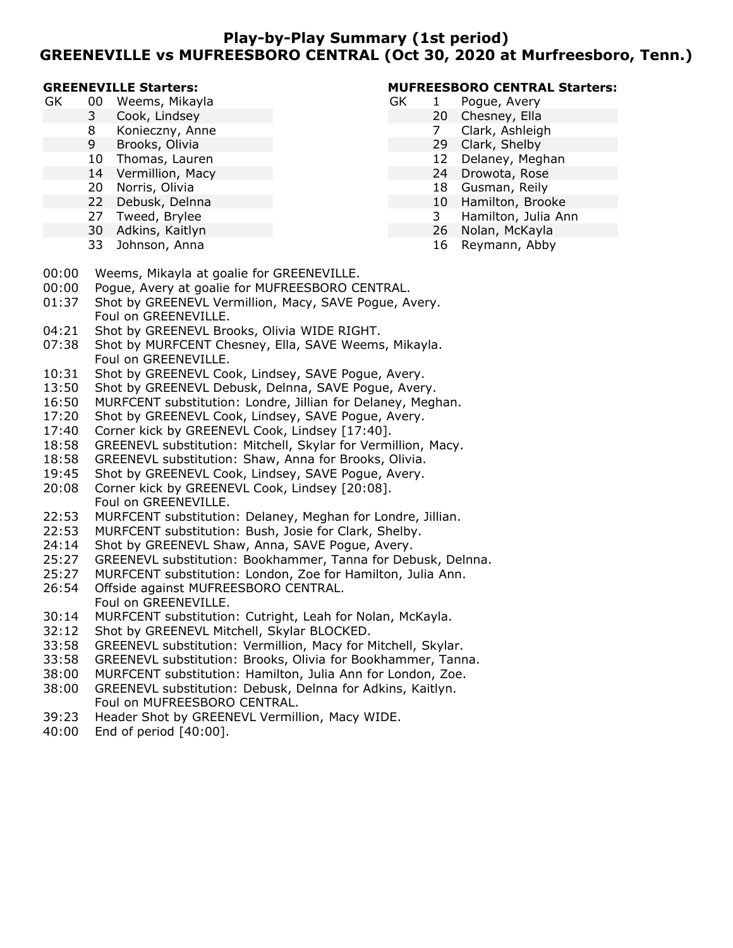### **Play-by-Play Summary (1st period) GREENEVILLE vs MUFREESBORO CENTRAL (Oct 30, 2020 at Murfreesboro, Tenn.)**

#### **GREENEVILLE Starters:**

- GK 00 Weems, Mikayla
	- 3 Cook, Lindsey
	- 8 Konieczny, Anne
	- 9 Brooks, Olivia
	- 10 Thomas, Lauren
	- 14 Vermillion, Macy
	- 20 Norris, Olivia
	- 22 Debusk, Delnna
	- 27 Tweed, Brylee
	- 30 Adkins, Kaitlyn
	- 33 Johnson, Anna

### **MUFREESBORO CENTRAL Starters:**

- GK 1 Pogue, Avery
	- 20 Chesney, Ella
	- 7 Clark, Ashleigh
	- 29 Clark, Shelby
	- 12 Delaney, Meghan
	- 24 Drowota, Rose
	- 18 Gusman, Reily
	- 10 Hamilton, Brooke
	- 3 Hamilton, Julia Ann
	- 26 Nolan, McKayla
		- 16 Reymann, Abby
- 00:00 Weems, Mikayla at goalie for GREENEVILLE.
- 00:00 Pogue, Avery at goalie for MUFREESBORO CENTRAL.
- 01:37 Shot by GREENEVL Vermillion, Macy, SAVE Pogue, Avery. Foul on GREENEVILLE.
- 04:21 Shot by GREENEVL Brooks, Olivia WIDE RIGHT.
- 07:38 Shot by MURFCENT Chesney, Ella, SAVE Weems, Mikayla. Foul on GREENEVILLE.
- 10:31 Shot by GREENEVL Cook, Lindsey, SAVE Pogue, Avery.
- 13:50 Shot by GREENEVL Debusk, Delnna, SAVE Pogue, Avery.
- 16:50 MURFCENT substitution: Londre, Jillian for Delaney, Meghan.
- 17:20 Shot by GREENEVL Cook, Lindsey, SAVE Pogue, Avery.
- 17:40 Corner kick by GREENEVL Cook, Lindsey [17:40].
- 18:58 GREENEVL substitution: Mitchell, Skylar for Vermillion, Macy.
- 18:58 GREENEVL substitution: Shaw, Anna for Brooks, Olivia.
- 19:45 Shot by GREENEVL Cook, Lindsey, SAVE Pogue, Avery. 20:08 Corner kick by GREENEVL Cook, Lindsey [20:08].
- Foul on GREENEVILLE.
- 22:53 MURFCENT substitution: Delaney, Meghan for Londre, Jillian.
- 22:53 MURFCENT substitution: Bush, Josie for Clark, Shelby.
- 24:14 Shot by GREENEVL Shaw, Anna, SAVE Pogue, Avery.
- 25:27 GREENEVL substitution: Bookhammer, Tanna for Debusk, Delnna.
- 25:27 MURFCENT substitution: London, Zoe for Hamilton, Julia Ann.
- 26:54 Offside against MUFREESBORO CENTRAL. Foul on GREENEVILLE.
- 30:14 MURFCENT substitution: Cutright, Leah for Nolan, McKayla.
- 32:12 Shot by GREENEVL Mitchell, Skylar BLOCKED.
- 33:58 GREENEVL substitution: Vermillion, Macy for Mitchell, Skylar.
- 33:58 GREENEVL substitution: Brooks, Olivia for Bookhammer, Tanna.
- 38:00 MURFCENT substitution: Hamilton, Julia Ann for London, Zoe.
- 38:00 GREENEVL substitution: Debusk, Delnna for Adkins, Kaitlyn. Foul on MUFREESBORO CENTRAL.
- 39:23 Header Shot by GREENEVL Vermillion, Macy WIDE.
- 40:00 End of period [40:00].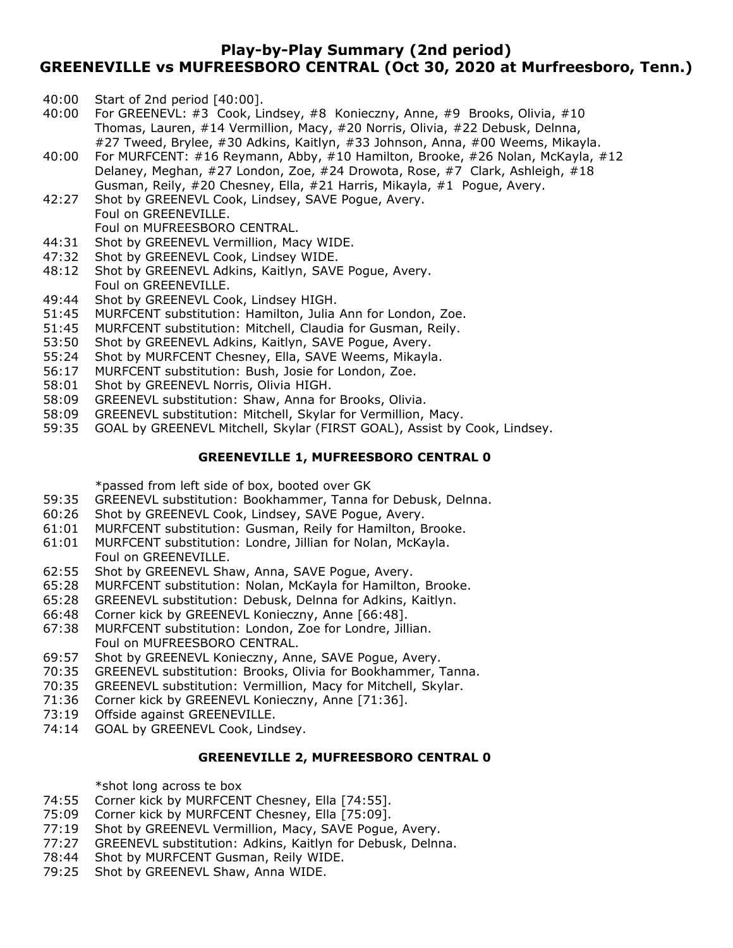## **Play-by-Play Summary (2nd period) GREENEVILLE vs MUFREESBORO CENTRAL (Oct 30, 2020 at Murfreesboro, Tenn.)**

- 40:00 Start of 2nd period [40:00].
- 40:00 For GREENEVL: #3 Cook, Lindsey, #8 Konieczny, Anne, #9 Brooks, Olivia, #10 Thomas, Lauren, #14 Vermillion, Macy, #20 Norris, Olivia, #22 Debusk, Delnna, #27 Tweed, Brylee, #30 Adkins, Kaitlyn, #33 Johnson, Anna, #00 Weems, Mikayla.
- 40:00 For MURFCENT: #16 Reymann, Abby, #10 Hamilton, Brooke, #26 Nolan, McKayla, #12 Delaney, Meghan, #27 London, Zoe, #24 Drowota, Rose, #7 Clark, Ashleigh, #18 Gusman, Reily, #20 Chesney, Ella, #21 Harris, Mikayla, #1 Pogue, Avery.
- 42:27 Shot by GREENEVL Cook, Lindsey, SAVE Pogue, Avery. Foul on GREENEVILLE.

Foul on MUFREESBORO CENTRAL.

- 44:31 Shot by GREENEVL Vermillion, Macy WIDE.
- 47:32 Shot by GREENEVL Cook, Lindsey WIDE.
- 48:12 Shot by GREENEVL Adkins, Kaitlyn, SAVE Pogue, Avery. Foul on GREENEVILLE.
- 49:44 Shot by GREENEVL Cook, Lindsey HIGH.
- 51:45 MURFCENT substitution: Hamilton, Julia Ann for London, Zoe.
- 51:45 MURFCENT substitution: Mitchell, Claudia for Gusman, Reily.
- 53:50 Shot by GREENEVL Adkins, Kaitlyn, SAVE Pogue, Avery.
- 55:24 Shot by MURFCENT Chesney, Ella, SAVE Weems, Mikayla.
- 56:17 MURFCENT substitution: Bush, Josie for London, Zoe.
- 58:01 Shot by GREENEVL Norris, Olivia HIGH.
- 58:09 GREENEVL substitution: Shaw, Anna for Brooks, Olivia.
- 58:09 GREENEVL substitution: Mitchell, Skylar for Vermillion, Macy.
- 59:35 GOAL by GREENEVL Mitchell, Skylar (FIRST GOAL), Assist by Cook, Lindsey.

### **GREENEVILLE 1, MUFREESBORO CENTRAL 0**

\*passed from left side of box, booted over GK

- 59:35 GREENEVL substitution: Bookhammer, Tanna for Debusk, Delnna.
- 60:26 Shot by GREENEVL Cook, Lindsey, SAVE Pogue, Avery.
- 61:01 MURFCENT substitution: Gusman, Reily for Hamilton, Brooke.
- 61:01 MURFCENT substitution: Londre, Jillian for Nolan, McKayla. Foul on GREENEVILLE.
- 62:55 Shot by GREENEVL Shaw, Anna, SAVE Pogue, Avery.
- 65:28 MURFCENT substitution: Nolan, McKayla for Hamilton, Brooke.
- 65:28 GREENEVL substitution: Debusk, Delnna for Adkins, Kaitlyn.
- 66:48 Corner kick by GREENEVL Konieczny, Anne [66:48].
- 67:38 MURFCENT substitution: London, Zoe for Londre, Jillian. Foul on MUFREESBORO CENTRAL.
- 69:57 Shot by GREENEVL Konieczny, Anne, SAVE Pogue, Avery.
- 70:35 GREENEVL substitution: Brooks, Olivia for Bookhammer, Tanna.
- 70:35 GREENEVL substitution: Vermillion, Macy for Mitchell, Skylar.
- 71:36 Corner kick by GREENEVL Konieczny, Anne [71:36].
- 73:19 Offside against GREENEVILLE.
- 74:14 GOAL by GREENEVL Cook, Lindsey.

### **GREENEVILLE 2, MUFREESBORO CENTRAL 0**

\*shot long across te box

- 74:55 Corner kick by MURFCENT Chesney, Ella [74:55].
- 75:09 Corner kick by MURFCENT Chesney, Ella [75:09].
- 77:19 Shot by GREENEVL Vermillion, Macy, SAVE Pogue, Avery.
- 77:27 GREENEVL substitution: Adkins, Kaitlyn for Debusk, Delnna.
- 78:44 Shot by MURFCENT Gusman, Reily WIDE.
- 79:25 Shot by GREENEVL Shaw, Anna WIDE.